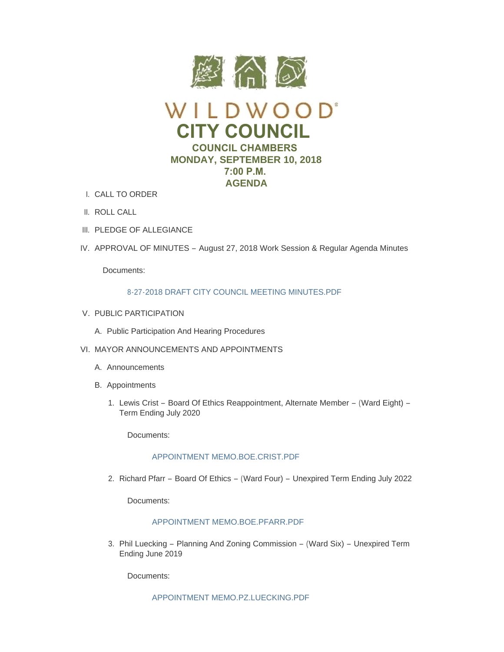

- CALL TO ORDER I.
- II. ROLL CALL
- III. PLEDGE OF ALLEGIANCE
- IV. APPROVAL OF MINUTES August 27, 2018 Work Session & Regular Agenda Minutes

Documents:

# 8-27-2018 DRAFT CITY COUNCIL MEETING MINUTES PDE

- V. PUBLIC PARTICIPATION
	- A. Public Participation And Hearing Procedures
- VI. MAYOR ANNOUNCEMENTS AND APPOINTMENTS
	- A. Announcements
	- B. Appointments
		- 1. Lewis Crist Board Of Ethics Reappointment, Alternate Member (Ward Eight) -Term Ending July 2020

Documents:

# [APPOINTMENT MEMO.BOE.CRIST.PDF](https://www.cityofwildwood.com/AgendaCenter/ViewFile/Item/16988?fileID=24318)

2. Richard Pfarr – Board Of Ethics – (Ward Four) – Unexpired Term Ending July 2022

Documents:

# [APPOINTMENT MEMO.BOE.PFARR.PDF](https://www.cityofwildwood.com/AgendaCenter/ViewFile/Item/16989?fileID=24319)

3. Phil Luecking – Planning And Zoning Commission – (Ward Six) – Unexpired Term Ending June 2019

Documents:

[APPOINTMENT MEMO.PZ.LUECKING.PDF](https://www.cityofwildwood.com/AgendaCenter/ViewFile/Item/16990?fileID=24320)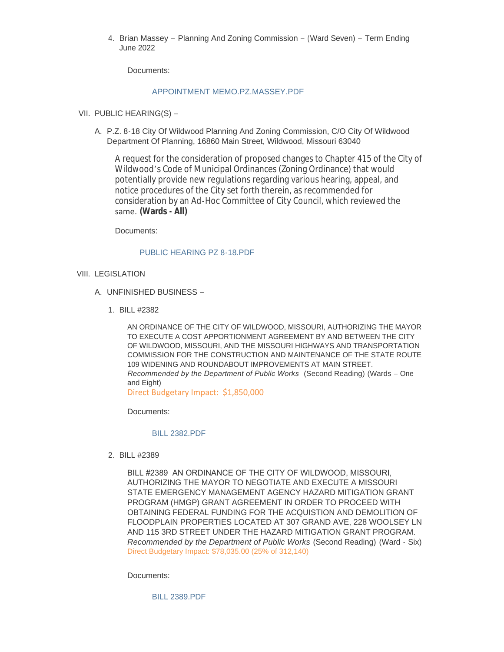4. Brian Massey – Planning And Zoning Commission – (Ward Seven) – Term Ending June 2022

Documents:

### [APPOINTMENT MEMO.PZ.MASSEY.PDF](https://www.cityofwildwood.com/AgendaCenter/ViewFile/Item/16991?fileID=24321)

- VII. PUBLIC HEARING(S)
	- A. P.Z. 8-18 City Of Wildwood Planning And Zoning Commission, C/O City Of Wildwood Department Of Planning, 16860 Main Street, Wildwood, Missouri 63040

A request for the consideration of proposed changes to Chapter 415 of the City of Wildwood's Code of Municipal Ordinances (Zoning Ordinance) that would potentially provide new regulations regarding various hearing, appeal, and notice procedures of the City set forth therein, as recommended for consideration by an Ad-Hoc Committee of City Council, which reviewed the same. **(Wards - All)**

Documents:

### [PUBLIC HEARING PZ 8-18.PDF](https://www.cityofwildwood.com/AgendaCenter/ViewFile/Item/16993?fileID=24322)

- VIII. LEGISLATION
	- UNFINISHED BUSINESS A.
		- BILL #2382 1.

AN ORDINANCE OF THE CITY OF WILDWOOD, MISSOURI, AUTHORIZING THE MAYOR TO EXECUTE A COST APPORTIONMENT AGREEMENT BY AND BETWEEN THE CITY OF WILDWOOD, MISSOURI, AND THE MISSOURI HIGHWAYS AND TRANSPORTATION COMMISSION FOR THE CONSTRUCTION AND MAINTENANCE OF THE STATE ROUTE 109 WIDENING AND ROUNDABOUT IMPROVEMENTS AT MAIN STREET. *Recommended by the Department of Public Works* (Second Reading) (Wards – One and Eight)

Direct Budgetary Impact: \$1,850,000

Documents:

### [BILL 2382.PDF](https://www.cityofwildwood.com/AgendaCenter/ViewFile/Item/16996?fileID=24323)

BILL #2389 2.

BILL #2389 AN ORDINANCE OF THE CITY OF WILDWOOD, MISSOURI, AUTHORIZING THE MAYOR TO NEGOTIATE AND EXECUTE A MISSOURI STATE EMERGENCY MANAGEMENT AGENCY HAZARD MITIGATION GRANT PROGRAM (HMGP) GRANT AGREEMENT IN ORDER TO PROCEED WITH OBTAINING FEDERAL FUNDING FOR THE ACQUISTION AND DEMOLITION OF FLOODPLAIN PROPERTIES LOCATED AT 307 GRAND AVE, 228 WOOLSEY LN AND 115 3RD STREET UNDER THE HAZARD MITIGATION GRANT PROGRAM. *Recommended by the Department of Public Works* (Second Reading) (Ward - Six) Direct Budgetary Impact: \$78,035.00 (25% of 312,140)

Documents:

[BILL 2389.PDF](https://www.cityofwildwood.com/AgendaCenter/ViewFile/Item/17103?fileID=24357)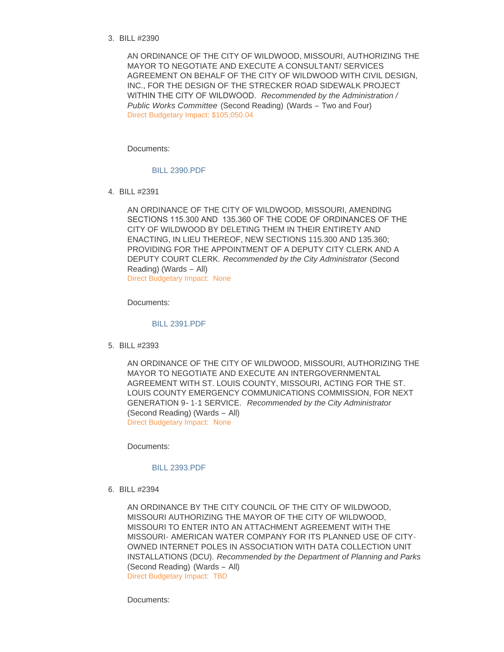BILL #2390 3.

AN ORDINANCE OF THE CITY OF WILDWOOD, MISSOURI, AUTHORIZING THE MAYOR TO NEGOTIATE AND EXECUTE A CONSULTANT/ SERVICES AGREEMENT ON BEHALF OF THE CITY OF WILDWOOD WITH CIVIL DESIGN, INC., FOR THE DESIGN OF THE STRECKER ROAD SIDEWALK PROJECT WITHIN THE CITY OF WILDWOOD. *Recommended by the Administration / Public Works Committee* (Second Reading) (Wards – Two and Four) Direct Budgetary Impact: \$105,050.04

Documents:

#### [BILL 2390.PDF](https://www.cityofwildwood.com/AgendaCenter/ViewFile/Item/17104?fileID=24358)

BILL #2391 4.

AN ORDINANCE OF THE CITY OF WILDWOOD, MISSOURI, AMENDING SECTIONS 115.300 AND 135.360 OF THE CODE OF ORDINANCES OF THE CITY OF WILDWOOD BY DELETING THEM IN THEIR ENTIRETY AND ENACTING, IN LIEU THEREOF, NEW SECTIONS 115.300 AND 135.360; PROVIDING FOR THE APPOINTMENT OF A DEPUTY CITY CLERK AND A DEPUTY COURT CLERK. *Recommended by the City Administrator* (Second Reading) (Wards – All) Direct Budgetary Impact: None

Documents:

#### [BILL 2391.PDF](https://www.cityofwildwood.com/AgendaCenter/ViewFile/Item/17105?fileID=24359)

BILL #2393 5.

AN ORDINANCE OF THE CITY OF WILDWOOD, MISSOURI, AUTHORIZING THE MAYOR TO NEGOTIATE AND EXECUTE AN INTERGOVERNMENTAL AGREEMENT WITH ST. LOUIS COUNTY, MISSOURI, ACTING FOR THE ST. LOUIS COUNTY EMERGENCY COMMUNICATIONS COMMISSION, FOR NEXT GENERATION 9-1-1 SERVICE. *Recommended by the City Administrator*  (Second Reading) (Wards – All) Direct Budgetary Impact: None

Documents:

#### [BILL 2393.PDF](https://www.cityofwildwood.com/AgendaCenter/ViewFile/Item/17106?fileID=24360)

BILL #2394 6.

AN ORDINANCE BY THE CITY COUNCIL OF THE CITY OF WILDWOOD, MISSOURI AUTHORIZING THE MAYOR OF THE CITY OF WILDWOOD, MISSOURI TO ENTER INTO AN ATTACHMENT AGREEMENT WITH THE MISSOURI- AMERICAN WATER COMPANY FOR ITS PLANNED USE OF CITY-OWNED INTERNET POLES IN ASSOCIATION WITH DATA COLLECTION UNIT INSTALLATIONS (DCU). *Recommended by the Department of Planning and Parks*  (Second Reading) (Wards – All) Direct Budgetary Impact: TBD

Documents: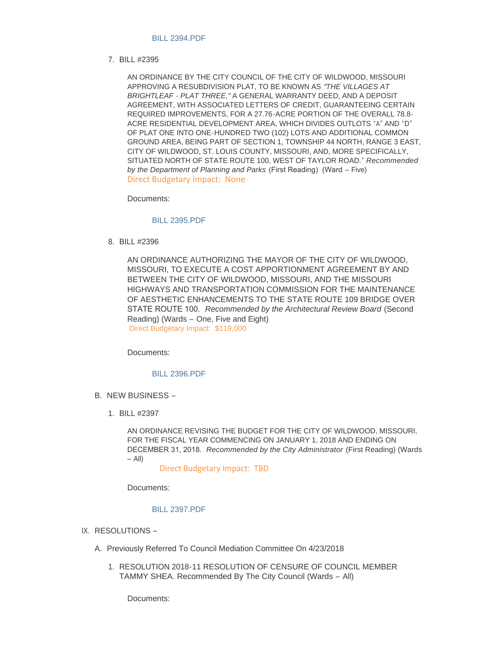### [BILL 2394.PDF](https://www.cityofwildwood.com/AgendaCenter/ViewFile/Item/17107?fileID=24361)

BILL #2395 7.

AN ORDINANCE BY THE CITY COUNCIL OF THE CITY OF WILDWOOD, MISSOURI APPROVING A RESUBDIVISION PLAT, TO BE KNOWN AS *"THE VILLAGES AT BRIGHTLEAF - PLAT THREE,"* A GENERAL WARRANTY DEED, AND A DEPOSIT AGREEMENT, WITH ASSOCIATED LETTERS OF CREDIT, GUARANTEEING CERTAIN REQUIRED IMPROVEMENTS, FOR A 27.76-ACRE PORTION OF THE OVERALL 78.8- ACRE RESIDENTIAL DEVELOPMENT AREA, WHICH DIVIDES OUTLOTS "A" AND "D" OF PLAT ONE INTO ONE-HUNDRED TWO (102) LOTS AND ADDITIONAL COMMON GROUND AREA, BEING PART OF SECTION 1, TOWNSHIP 44 NORTH, RANGE 3 EAST, CITY OF WILDWOOD, ST. LOUIS COUNTY, MISSOURI, AND, MORE SPECIFICALLY, SITUATED NORTH OF STATE ROUTE 100, WEST OF TAYLOR ROAD." *Recommended by the Department of Planning and Parks* (First Reading) (Ward – Five) Direct Budgetary Impact: None

Documents:

### [BILL 2395.PDF](https://www.cityofwildwood.com/AgendaCenter/ViewFile/Item/17002?fileID=24329)

BILL #2396 8.

AN ORDINANCE AUTHORIZING THE MAYOR OF THE CITY OF WILDWOOD, MISSOURI, TO EXECUTE A COST APPORTIONMENT AGREEMENT BY AND BETWEEN THE CITY OF WILDWOOD, MISSOURI, AND THE MISSOURI HIGHWAYS AND TRANSPORTATION COMMISSION FOR THE MAINTENANCE OF AESTHETIC ENHANCEMENTS TO THE STATE ROUTE 109 BRIDGE OVER STATE ROUTE 100. *Recommended by the Architectural Review Board* (Second Reading) (Wards – One, Five and Eight) Direct Budgetary Impact: \$119,000

Documents:

#### [BILL 2396.PDF](https://www.cityofwildwood.com/AgendaCenter/ViewFile/Item/17109?fileID=24363)

- B. NEW BUSINESS
	- BILL #2397 1.

AN ORDINANCE REVISING THE BUDGET FOR THE CITY OF WILDWOOD, MISSOURI, FOR THE FISCAL YEAR COMMENCING ON JANUARY 1, 2018 AND ENDING ON DECEMBER 31, 2018. *Recommended by the City Administrator* (First Reading) (Wards  $-$  All)

Direct Budgetary Impact: TBD

Documents:

#### [BILL 2397.PDF](https://www.cityofwildwood.com/AgendaCenter/ViewFile/Item/17005?fileID=24334)

- IX. RESOLUTIONS
	- A. Previously Referred To Council Mediation Committee On 4/23/2018
		- 1. RESOLUTION 2018-11 RESOLUTION OF CENSURE OF COUNCIL MEMBER TAMMY SHEA. Recommended By The City Council (Wards – All)

Documents: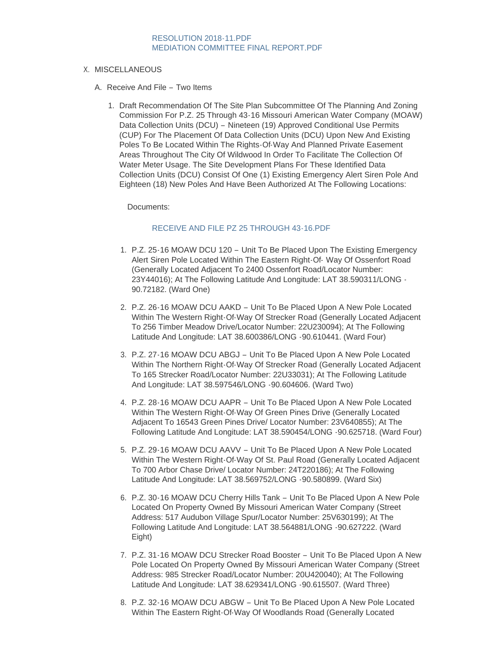# [RESOLUTION 2018-11.PDF](https://www.cityofwildwood.com/AgendaCenter/ViewFile/Item/17113?fileID=24366) [MEDIATION COMMITTEE FINAL REPORT.PDF](https://www.cityofwildwood.com/AgendaCenter/ViewFile/Item/17113?fileID=24367)

# X. MISCELLANEOUS

- A. Receive And File Two Items
	- 1. Draft Recommendation Of The Site Plan Subcommittee Of The Planning And Zoning Commission For P.Z. 25 Through 43-16 Missouri American Water Company (MOAW) Data Collection Units (DCU) – Nineteen (19) Approved Conditional Use Permits (CUP) For The Placement Of Data Collection Units (DCU) Upon New And Existing Poles To Be Located Within The Rights-Of-Way And Planned Private Easement Areas Throughout The City Of Wildwood In Order To Facilitate The Collection Of Water Meter Usage. The Site Development Plans For These Identified Data Collection Units (DCU) Consist Of One (1) Existing Emergency Alert Siren Pole And Eighteen (18) New Poles And Have Been Authorized At The Following Locations:

Documents:

# [RECEIVE AND FILE PZ 25 THROUGH 43-16.PDF](https://www.cityofwildwood.com/AgendaCenter/ViewFile/Item/17010?fileID=24332)

- 1. P.Z. 25-16 MOAW DCU 120 Unit To Be Placed Upon The Existing Emergency Alert Siren Pole Located Within The Eastern Right-Of- Way Of Ossenfort Road (Generally Located Adjacent To 2400 Ossenfort Road/Locator Number: 23Y44016); At The Following Latitude And Longitude: LAT 38.590311/LONG - 90.72182. (Ward One)
- 2. P.Z. 26-16 MOAW DCU AAKD Unit To Be Placed Upon A New Pole Located Within The Western Right-Of-Way Of Strecker Road (Generally Located Adjacent To 256 Timber Meadow Drive/Locator Number: 22U230094); At The Following Latitude And Longitude: LAT 38.600386/LONG -90.610441. (Ward Four)
- 3. P.Z. 27-16 MOAW DCU ABGJ Unit To Be Placed Upon A New Pole Located Within The Northern Right-Of-Way Of Strecker Road (Generally Located Adjacent To 165 Strecker Road/Locator Number: 22U33031); At The Following Latitude And Longitude: LAT 38.597546/LONG -90.604606. (Ward Two)
- 4. P.Z. 28-16 MOAW DCU AAPR Unit To Be Placed Upon A New Pole Located Within The Western Right-Of-Way Of Green Pines Drive (Generally Located Adjacent To 16543 Green Pines Drive/ Locator Number: 23V640855); At The Following Latitude And Longitude: LAT 38.590454/LONG -90.625718. (Ward Four)
- 5. P.Z. 29-16 MOAW DCU AAVV Unit To Be Placed Upon A New Pole Located Within The Western Right-Of-Way Of St. Paul Road (Generally Located Adjacent To 700 Arbor Chase Drive/ Locator Number: 24T220186); At The Following Latitude And Longitude: LAT 38.569752/LONG -90.580899. (Ward Six)
- 6. P.Z. 30-16 MOAW DCU Cherry Hills Tank Unit To Be Placed Upon A New Pole Located On Property Owned By Missouri American Water Company (Street Address: 517 Audubon Village Spur/Locator Number: 25V630199); At The Following Latitude And Longitude: LAT 38.564881/LONG -90.627222. (Ward Eight)
- 7. P.Z. 31-16 MOAW DCU Strecker Road Booster Unit To Be Placed Upon A New Pole Located On Property Owned By Missouri American Water Company (Street Address: 985 Strecker Road/Locator Number: 20U420040); At The Following Latitude And Longitude: LAT 38.629341/LONG -90.615507. (Ward Three)
- 8. P.Z. 32-16 MOAW DCU ABGW Unit To Be Placed Upon A New Pole Located Within The Eastern Right-Of-Way Of Woodlands Road (Generally Located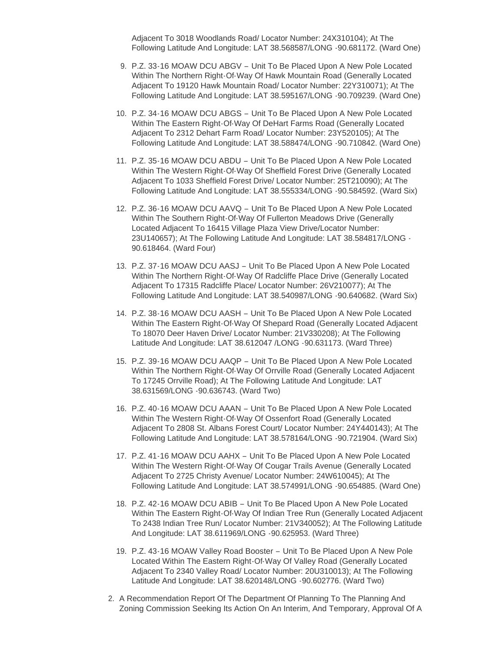Adjacent To 3018 Woodlands Road/ Locator Number: 24X310104); At The Following Latitude And Longitude: LAT 38.568587/LONG -90.681172. (Ward One)

- 9. P.Z. 33-16 MOAW DCU ABGV Unit To Be Placed Upon A New Pole Located Within The Northern Right-Of-Way Of Hawk Mountain Road (Generally Located Adjacent To 19120 Hawk Mountain Road/ Locator Number: 22Y310071); At The Following Latitude And Longitude: LAT 38.595167/LONG -90.709239. (Ward One)
- P.Z. 34-16 MOAW DCU ABGS Unit To Be Placed Upon A New Pole Located 10. Within The Eastern Right-Of-Way Of DeHart Farms Road (Generally Located Adjacent To 2312 Dehart Farm Road/ Locator Number: 23Y520105); At The Following Latitude And Longitude: LAT 38.588474/LONG -90.710842. (Ward One)
- P.Z. 35-16 MOAW DCU ABDU Unit To Be Placed Upon A New Pole Located 11. Within The Western Right-Of-Way Of Sheffield Forest Drive (Generally Located Adjacent To 1033 Sheffield Forest Drive/ Locator Number: 25T210090); At The Following Latitude And Longitude: LAT 38.555334/LONG -90.584592. (Ward Six)
- P.Z. 36-16 MOAW DCU AAVQ Unit To Be Placed Upon A New Pole Located 12. Within The Southern Right-Of-Way Of Fullerton Meadows Drive (Generally Located Adjacent To 16415 Village Plaza View Drive/Locator Number: 23U140657); At The Following Latitude And Longitude: LAT 38.584817/LONG - 90.618464. (Ward Four)
- P.Z. 37-16 MOAW DCU AASJ Unit To Be Placed Upon A New Pole Located 13. Within The Northern Right-Of-Way Of Radcliffe Place Drive (Generally Located Adjacent To 17315 Radcliffe Place/ Locator Number: 26V210077); At The Following Latitude And Longitude: LAT 38.540987/LONG -90.640682. (Ward Six)
- P.Z. 38-16 MOAW DCU AASH Unit To Be Placed Upon A New Pole Located 14. Within The Eastern Right-Of-Way Of Shepard Road (Generally Located Adjacent To 18070 Deer Haven Drive/ Locator Number: 21V330208); At The Following Latitude And Longitude: LAT 38.612047 /LONG -90.631173. (Ward Three)
- P.Z. 39-16 MOAW DCU AAQP Unit To Be Placed Upon A New Pole Located 15. Within The Northern Right-Of-Way Of Orrville Road (Generally Located Adjacent To 17245 Orrville Road); At The Following Latitude And Longitude: LAT 38.631569/LONG -90.636743. (Ward Two)
- P.Z. 40-16 MOAW DCU AAAN Unit To Be Placed Upon A New Pole Located 16. Within The Western Right-Of-Way Of Ossenfort Road (Generally Located Adjacent To 2808 St. Albans Forest Court/ Locator Number: 24Y440143); At The Following Latitude And Longitude: LAT 38.578164/LONG -90.721904. (Ward Six)
- 17. P.Z. 41-16 MOAW DCU AAHX Unit To Be Placed Upon A New Pole Located Within The Western Right-Of-Way Of Cougar Trails Avenue (Generally Located Adjacent To 2725 Christy Avenue/ Locator Number: 24W610045); At The Following Latitude And Longitude: LAT 38.574991/LONG -90.654885. (Ward One)
- 18. P.Z. 42-16 MOAW DCU ABIB Unit To Be Placed Upon A New Pole Located Within The Eastern Right-Of-Way Of Indian Tree Run (Generally Located Adjacent To 2438 Indian Tree Run/ Locator Number: 21V340052); At The Following Latitude And Longitude: LAT 38.611969/LONG -90.625953. (Ward Three)
- 19. P.Z. 43-16 MOAW Valley Road Booster Unit To Be Placed Upon A New Pole Located Within The Eastern Right-Of-Way Of Valley Road (Generally Located Adjacent To 2340 Valley Road/ Locator Number: 20U310013); At The Following Latitude And Longitude: LAT 38.620148/LONG -90.602776. (Ward Two)
- 2. A Recommendation Report Of The Department Of Planning To The Planning And Zoning Commission Seeking Its Action On An Interim, And Temporary, Approval Of A